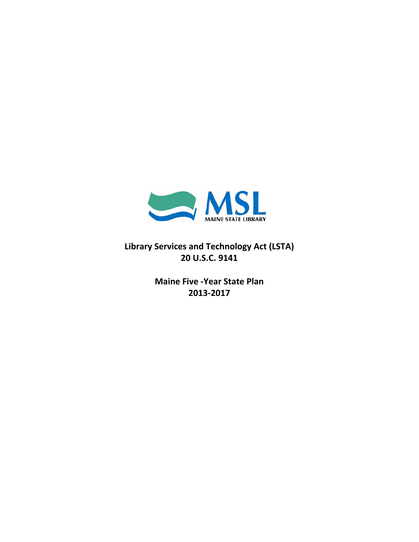

**Library Services and Technology Act (LSTA) 20 U.S.C. 9141**

> **Maine Five ‐Year State Plan 2013‐2017**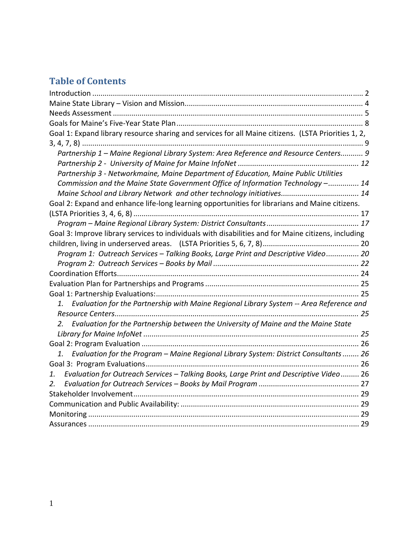# **Table of Contents**

| Goal 1: Expand library resource sharing and services for all Maine citizens. (LSTA Priorities 1, 2,    |  |
|--------------------------------------------------------------------------------------------------------|--|
|                                                                                                        |  |
| Partnership 1 - Maine Regional Library System: Area Reference and Resource Centers 9                   |  |
|                                                                                                        |  |
| Partnership 3 - Networkmaine, Maine Department of Education, Maine Public Utilities                    |  |
| Commission and the Maine State Government Office of Information Technology - 14                        |  |
| Maine School and Library Network and other technology initiatives 14                                   |  |
| Goal 2: Expand and enhance life-long learning opportunities for librarians and Maine citizens.         |  |
|                                                                                                        |  |
|                                                                                                        |  |
| Goal 3: Improve library services to individuals with disabilities and for Maine citizens, including    |  |
|                                                                                                        |  |
| Program 1: Outreach Services - Talking Books, Large Print and Descriptive Video 20                     |  |
|                                                                                                        |  |
|                                                                                                        |  |
|                                                                                                        |  |
|                                                                                                        |  |
| Evaluation for the Partnership with Maine Regional Library System -- Area Reference and<br>$1_{\cdot}$ |  |
|                                                                                                        |  |
| Evaluation for the Partnership between the University of Maine and the Maine State<br>2.               |  |
|                                                                                                        |  |
|                                                                                                        |  |
| Evaluation for the Program - Maine Regional Library System: District Consultants  26<br>$1_{\cdot}$    |  |
|                                                                                                        |  |
| Evaluation for Outreach Services - Talking Books, Large Print and Descriptive Video 26<br>1.           |  |
| 2.                                                                                                     |  |
|                                                                                                        |  |
|                                                                                                        |  |
|                                                                                                        |  |
|                                                                                                        |  |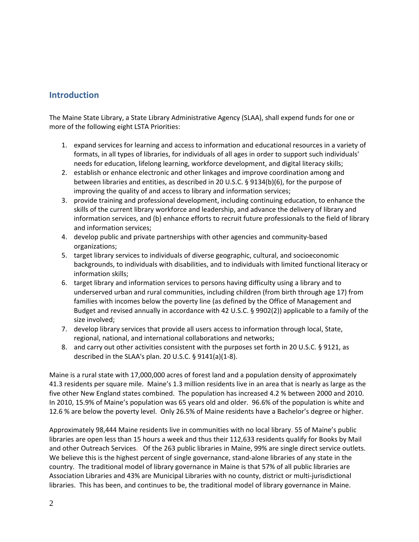# **Introduction**

The Maine State Library, a State Library Administrative Agency (SLAA), shall expend funds for one or more of the following eight LSTA Priorities:

- 1. expand services for learning and access to information and educational resources in a variety of formats, in all types of libraries, for individuals of all ages in order to support such individuals' needs for education, lifelong learning, workforce development, and digital literacy skills;
- 2. establish or enhance electronic and other linkages and improve coordination among and between libraries and entities, as described in 20 U.S.C. § 9134(b)(6), for the purpose of improving the quality of and access to library and information services;
- 3. provide training and professional development, including continuing education, to enhance the skills of the current library workforce and leadership, and advance the delivery of library and information services, and (b) enhance efforts to recruit future professionals to the field of library and information services;
- 4. develop public and private partnerships with other agencies and community-based organizations;
- 5. target library services to individuals of diverse geographic, cultural, and socioeconomic backgrounds, to individuals with disabilities, and to individuals with limited functional literacy or information skills;
- 6. target library and information services to persons having difficulty using a library and to underserved urban and rural communities, including children (from birth through age 17) from families with incomes below the poverty line (as defined by the Office of Management and Budget and revised annually in accordance with 42 U.S.C. § 9902(2)) applicable to a family of the size involved;
- 7. develop library services that provide all users access to information through local, State, regional, national, and international collaborations and networks;
- 8. and carry out other activities consistent with the purposes set forth in 20 U.S.C. § 9121, as described in the SLAA's plan. 20 U.S.C.  $\S$  9141(a)(1-8).

Maine is a rural state with 17,000,000 acres of forest land and a population density of approximately 41.3 residents per square mile. Maine's 1.3 million residents live in an area that is nearly as large as the five other New England states combined. The population has increased 4.2 % between 2000 and 2010. In 2010, 15.9% of Maine's population was 65 years old and older. 96.6% of the population is white and 12.6 % are below the poverty level. Only 26.5% of Maine residents have a Bachelor's degree or higher.

Approximately 98,444 Maine residents live in communities with no local library. 55 of Maine's public libraries are open less than 15 hours a week and thus their 112,633 residents qualify for Books by Mail and other Outreach Services. Of the 263 public libraries in Maine, 99% are single direct service outlets. We believe this is the highest percent of single governance, stand-alone libraries of any state in the country. The traditional model of library governance in Maine is that 57% of all public libraries are Association Libraries and 43% are Municipal Libraries with no county, district or multi‐jurisdictional libraries. This has been, and continues to be, the traditional model of library governance in Maine.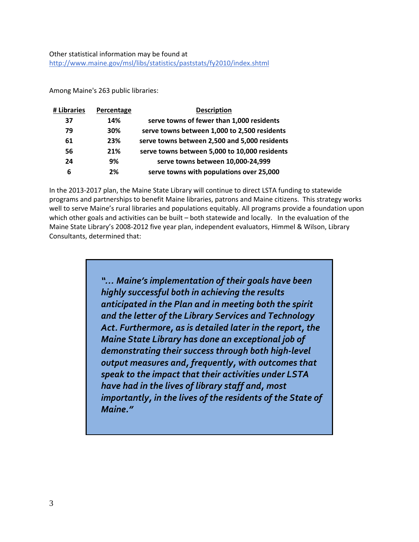### Other statistical information may be found at http://www.maine.gov/msl/libs/statistics/paststats/fy2010/index.shtml

Among Maine's 263 public libraries:

| # Libraries | <b>Percentage</b> | <b>Description</b>                            |
|-------------|-------------------|-----------------------------------------------|
| 37          | 14%               | serve towns of fewer than 1,000 residents     |
| 79          | 30%               | serve towns between 1,000 to 2,500 residents  |
| 61          | 23%               | serve towns between 2,500 and 5,000 residents |
| 56          | 21%               | serve towns between 5,000 to 10,000 residents |
| 24          | 9%                | serve towns between 10,000-24,999             |
| 6           | 2%                | serve towns with populations over 25,000      |

In the 2013‐2017 plan, the Maine State Library will continue to direct LSTA funding to statewide programs and partnerships to benefit Maine libraries, patrons and Maine citizens. This strategy works well to serve Maine's rural libraries and populations equitably. All programs provide a foundation upon which other goals and activities can be built – both statewide and locally. In the evaluation of the Maine State Library's 2008‐2012 five year plan, independent evaluators, Himmel & Wilson, Library Consultants, determined that:

> *"… Maine's implementation of their goals have been highly successful both in achieving the results anticipated in the Plan and in meeting both the spirit and the letter of the Library Services and Technology Act. Furthermore, as is detailed later in the report, the Maine State Library has done an exceptional job of demonstrating their success through both high‐level output measures and, frequently, with outcomes that speak to the impact that their activities under LSTA have had in the lives of library staff and, most importantly, in the lives of the residents of the State of Maine."*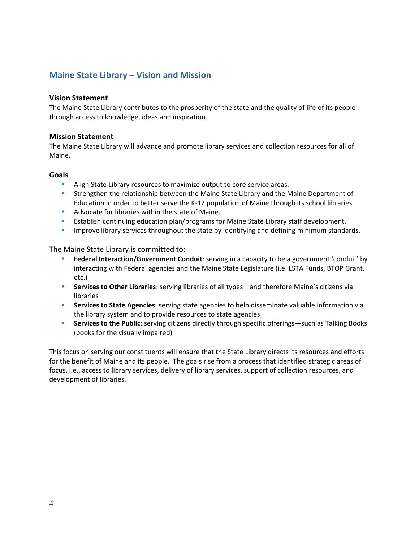# **Maine State Library – Vision and Mission**

## **Vision Statement**

The Maine State Library contributes to the prosperity of the state and the quality of life of its people through access to knowledge, ideas and inspiration.

### **Mission Statement**

The Maine State Library will advance and promote library services and collection resources for all of Maine.

### **Goals**

- Align State Library resources to maximize output to core service areas.
- **Strengthen the relationship between the Maine State Library and the Maine Department of** Education in order to better serve the K‐12 population of Maine through its school libraries.
- **Advocate for libraries within the state of Maine.**
- **EXECT ESTABLISH CONTINUING EDUCATION PLAN** programs for Maine State Library staff development.
- **IMPROVE LACK INTERS INTO SET 10** improve library services throughout the standards in the standards.

The Maine State Library is committed to:

- **Federal Interaction/Government Conduit**: serving in a capacity to be a government 'conduit' by interacting with Federal agencies and the Maine State Legislature (i.e. LSTA Funds, BTOP Grant, etc.)
- **Services to Other Libraries**: serving libraries of all types—and therefore Maine's citizens via libraries
- **Services to State Agencies**: serving state agencies to help disseminate valuable information via the library system and to provide resources to state agencies
- **Services to the Public**: serving citizens directly through specific offerings—such as Talking Books (books for the visually impaired)

This focus on serving our constituents will ensure that the State Library directs its resources and efforts for the benefit of Maine and its people. The goals rise from a process that identified strategic areas of focus, i.e., access to library services, delivery of library services, support of collection resources, and development of libraries.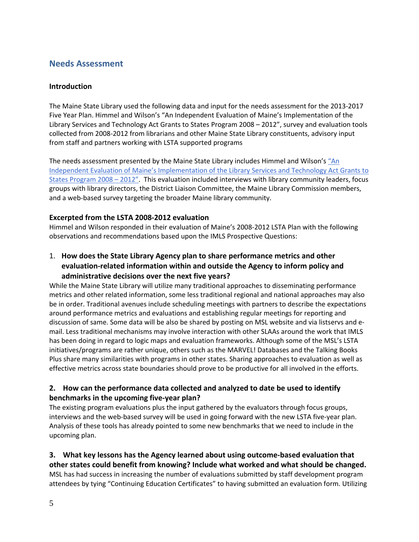# **Needs Assessment**

## **Introduction**

The Maine State Library used the following data and input for the needs assessment for the 2013‐2017 Five Year Plan. Himmel and Wilson's "An Independent Evaluation of Maine's Implementation of the Library Services and Technology Act Grants to States Program 2008 – 2012", survey and evaluation tools collected from 2008‐2012 from librarians and other Maine State Library constituents, advisory input from staff and partners working with LSTA supported programs

The needs assessment presented by the Maine State Library includes Himmel and Wilson's "An Independent Evaluation of Maine's Implementation of the Library Services and Technology Act Grants to States Program 2008 – 2012". This evaluation included interviews with library community leaders, focus groups with library directors, the District Liaison Committee, the Maine Library Commission members, and a web-based survey targeting the broader Maine library community.

### **Excerpted from the LSTA 2008‐2012 evaluation**

Himmel and Wilson responded in their evaluation of Maine's 2008‐2012 LSTA Plan with the following observations and recommendations based upon the IMLS Prospective Questions:

1. **How does the State Library Agency plan to share performance metrics and other evaluation‐related information within and outside the Agency to inform policy and administrative decisions over the next five years?**

While the Maine State Library will utilize many traditional approaches to disseminating performance metrics and other related information, some less traditional regional and national approaches may also be in order. Traditional avenues include scheduling meetings with partners to describe the expectations around performance metrics and evaluations and establishing regular meetings for reporting and discussion of same. Some data will be also be shared by posting on MSL website and via listservs and e‐ mail. Less traditional mechanisms may involve interaction with other SLAAs around the work that IMLS has been doing in regard to logic maps and evaluation frameworks. Although some of the MSL's LSTA initiatives/programs are rather unique, others such as the MARVEL! Databases and the Talking Books Plus share many similarities with programs in other states. Sharing approaches to evaluation as well as effective metrics across state boundaries should prove to be productive for all involved in the efforts.

## **2. How can the performance data collected and analyzed to date be used to identify benchmarks in the upcoming five‐year plan?**

The existing program evaluations plus the input gathered by the evaluators through focus groups, interviews and the web-based survey will be used in going forward with the new LSTA five-year plan. Analysis of these tools has already pointed to some new benchmarks that we need to include in the upcoming plan.

**3. What key lessons has the Agency learned about using outcome‐based evaluation that other states could benefit from knowing? Include what worked and what should be changed.** MSL has had success in increasing the number of evaluations submitted by staff development program attendees by tying "Continuing Education Certificates" to having submitted an evaluation form. Utilizing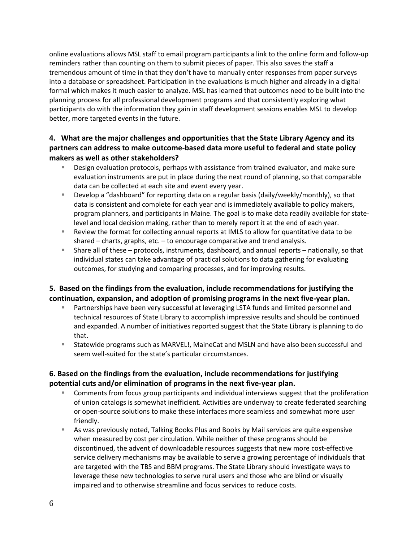online evaluations allows MSL staff to email program participants a link to the online form and follow‐up reminders rather than counting on them to submit pieces of paper. This also saves the staff a tremendous amount of time in that they don't have to manually enter responses from paper surveys into a database or spreadsheet. Participation in the evaluations is much higher and already in a digital formal which makes it much easier to analyze. MSL has learned that outcomes need to be built into the planning process for all professional development programs and that consistently exploring what participants do with the information they gain in staff development sessions enables MSL to develop better, more targeted events in the future.

## **4. What are the major challenges and opportunities that the State Library Agency and its partners can address to make outcome‐based data more useful to federal and state policy makers as well as other stakeholders?**

- Design evaluation protocols, perhaps with assistance from trained evaluator, and make sure evaluation instruments are put in place during the next round of planning, so that comparable data can be collected at each site and event every year.
- Develop a "dashboard" for reporting data on a regular basis (daily/weekly/monthly), so that data is consistent and complete for each year and is immediately available to policy makers, program planners, and participants in Maine. The goal is to make data readily available for state‐ level and local decision making, rather than to merely report it at the end of each year.
- Review the format for collecting annual reports at IMLS to allow for quantitative data to be shared – charts, graphs, etc. – to encourage comparative and trend analysis.
- Share all of these protocols, instruments, dashboard, and annual reports nationally, so that individual states can take advantage of practical solutions to data gathering for evaluating outcomes, for studying and comparing processes, and for improving results.

## **5. Based on the findings from the evaluation, include recommendations for justifying the continuation, expansion, and adoption of promising programs in the next five‐year plan.**

- **Partnerships have been very successful at leveraging LSTA funds and limited personnel and** technical resources of State Library to accomplish impressive results and should be continued and expanded. A number of initiatives reported suggest that the State Library is planning to do that.
- Statewide programs such as MARVEL!, MaineCat and MSLN and have also been successful and seem well-suited for the state's particular circumstances.

## **6. Based on the findings from the evaluation, include recommendations for justifying potential cuts and/or elimination of programs in the next five‐year plan.**

- **Comments from focus group participants and individual interviews suggest that the proliferation** of union catalogs is somewhat inefficient. Activities are underway to create federated searching or open‐source solutions to make these interfaces more seamless and somewhat more user friendly.
- As was previously noted, Talking Books Plus and Books by Mail services are quite expensive when measured by cost per circulation. While neither of these programs should be discontinued, the advent of downloadable resources suggests that new more cost‐effective service delivery mechanisms may be available to serve a growing percentage of individuals that are targeted with the TBS and BBM programs. The State Library should investigate ways to leverage these new technologies to serve rural users and those who are blind or visually impaired and to otherwise streamline and focus services to reduce costs.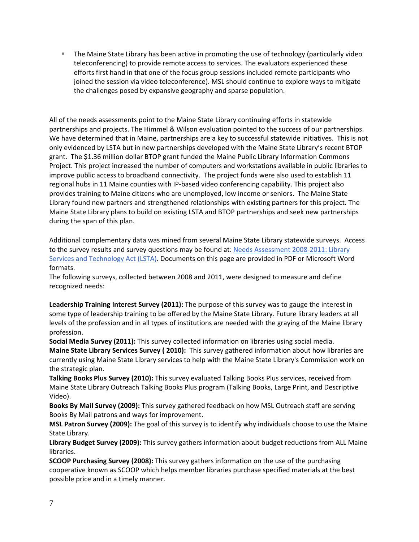The Maine State Library has been active in promoting the use of technology (particularly video teleconferencing) to provide remote access to services. The evaluators experienced these efforts first hand in that one of the focus group sessions included remote participants who joined the session via video teleconference). MSL should continue to explore ways to mitigate the challenges posed by expansive geography and sparse population.

All of the needs assessments point to the Maine State Library continuing efforts in statewide partnerships and projects. The Himmel & Wilson evaluation pointed to the success of our partnerships. We have determined that in Maine, partnerships are a key to successful statewide initiatives. This is not only evidenced by LSTA but in new partnerships developed with the Maine State Library's recent BTOP grant. The \$1.36 million dollar BTOP grant funded the Maine Public Library Information Commons Project. This project increased the number of computers and workstations available in public libraries to improve public access to broadband connectivity. The project funds were also used to establish 11 regional hubs in 11 Maine counties with IP‐based video conferencing capability. This project also provides training to Maine citizens who are unemployed, low income or seniors. The Maine State Library found new partners and strengthened relationships with existing partners for this project. The Maine State Library plans to build on existing LSTA and BTOP partnerships and seek new partnerships during the span of this plan.

Additional complementary data was mined from several Maine State Library statewide surveys. Access to the survey results and survey questions may be found at: Needs Assessment 2008‐2011: Library Services and Technology Act (LSTA). Documents on this page are provided in PDF or Microsoft Word formats.

The following surveys, collected between 2008 and 2011, were designed to measure and define recognized needs:

**Leadership Training Interest Survey (2011):** The purpose of this survey was to gauge the interest in some type of leadership training to be offered by the Maine State Library. Future library leaders at all levels of the profession and in all types of institutions are needed with the graying of the Maine library profession.

**Social Media Survey (2011):** This survey collected information on libraries using social media. **Maine State Library Services Survey ( 2010):** This survey gathered information about how libraries are currently using Maine State Library services to help with the Maine State Library's Commission work on the strategic plan.

**Talking Books Plus Survey (2010):** This survey evaluated Talking Books Plus services, received from Maine State Library Outreach Talking Books Plus program (Talking Books, Large Print, and Descriptive Video).

**Books By Mail Survey (2009):** This survey gathered feedback on how MSL Outreach staff are serving Books By Mail patrons and ways for improvement.

**MSL Patron Survey (2009):** The goal of this survey is to identify why individuals choose to use the Maine State Library.

**Library Budget Survey (2009):** This survey gathers information about budget reductions from ALL Maine libraries.

**SCOOP Purchasing Survey (2008):** This survey gathers information on the use of the purchasing cooperative known as SCOOP which helps member libraries purchase specified materials at the best possible price and in a timely manner.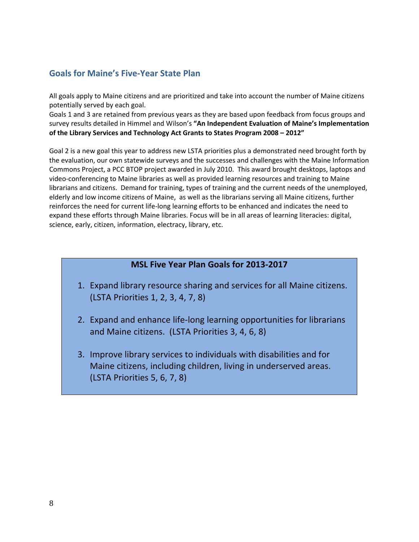# **Goals for Maine's Five‐Year State Plan**

All goals apply to Maine citizens and are prioritized and take into account the number of Maine citizens potentially served by each goal.

Goals 1 and 3 are retained from previous years as they are based upon feedback from focus groups and survey results detailed in Himmel and Wilson's **"An Independent Evaluation of Maine's Implementation of the Library Services and Technology Act Grants to States Program 2008 – 2012"**

Goal 2 is a new goal this year to address new LSTA priorities plus a demonstrated need brought forth by the evaluation, our own statewide surveys and the successes and challenges with the Maine Information Commons Project, a PCC BTOP project awarded in July 2010. This award brought desktops, laptops and video‐conferencing to Maine libraries as well as provided learning resources and training to Maine librarians and citizens. Demand for training, types of training and the current needs of the unemployed, elderly and low income citizens of Maine, as well as the librarians serving all Maine citizens, further reinforces the need for current life‐long learning efforts to be enhanced and indicates the need to expand these efforts through Maine libraries. Focus will be in all areas of learning literacies: digital, science, early, citizen, information, electracy, library, etc.

# **MSL Five Year Plan Goals for 2013‐2017**

- 1. Expand library resource sharing and services for all Maine citizens. (LSTA Priorities 1, 2, 3, 4, 7, 8)
- 2. Expand and enhance life‐long learning opportunities for librarians and Maine citizens. (LSTA Priorities 3, 4, 6, 8)
- 3. Improve library services to individuals with disabilities and for Maine citizens, including children, living in underserved areas. (LSTA Priorities 5, 6, 7, 8)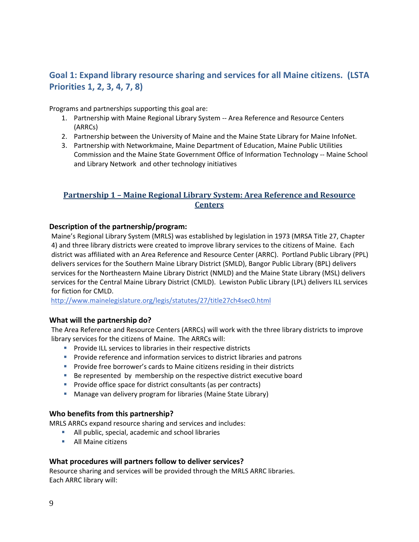# **Goal 1: Expand library resource sharing and services for all Maine citizens. (LSTA Priorities 1, 2, 3, 4, 7, 8)**

Programs and partnerships supporting this goal are:

- 1. Partnership with Maine Regional Library System -- Area Reference and Resource Centers (ARRCs)
- 2. Partnership between the University of Maine and the Maine State Library for Maine InfoNet.
- 3. Partnership with Networkmaine, Maine Department of Education, Maine Public Utilities Commission and the Maine State Government Office of Information Technology ‐‐ Maine School and Library Network and other technology initiatives

## **Partnership 1 – Maine Regional Library System: Area Reference and Resource Centers**

## **Description of the partnership/program:**

Maine's Regional Library System (MRLS) was established by legislation in 1973 (MRSA Title 27, Chapter 4) and three library districts were created to improve library services to the citizens of Maine. Each district was affiliated with an Area Reference and Resource Center (ARRC). Portland Public Library (PPL) delivers services for the Southern Maine Library District (SMLD), Bangor Public Library (BPL) delivers services for the Northeastern Maine Library District (NMLD) and the Maine State Library (MSL) delivers services for the Central Maine Library District (CMLD). Lewiston Public Library (LPL) delivers ILL services for fiction for CMLD.

http://www.mainelegislature.org/legis/statutes/27/title27ch4sec0.html

## **What will the partnership do?**

The Area Reference and Resource Centers (ARRCs) will work with the three library districts to improve library services for the citizens of Maine. The ARRCs will:

- **Provide ILL services to libraries in their respective districts**
- **Provide reference and information services to district libraries and patrons**
- **Provide free borrower's cards to Maine citizens residing in their districts**
- Be represented by membership on the respective district executive board
- **Provide office space for district consultants (as per contracts)**
- **Manage van delivery program for libraries (Maine State Library)**

#### **Who benefits from this partnership?**

MRLS ARRCs expand resource sharing and services and includes:

- All public, special, academic and school libraries
- **All Maine citizens**

#### **What procedures will partners follow to deliver services?**

Resource sharing and services will be provided through the MRLS ARRC libraries. Each ARRC library will: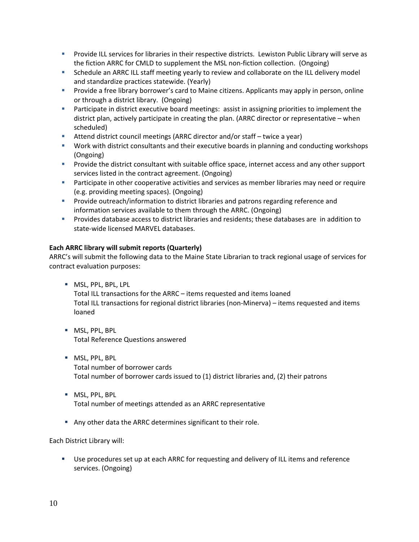- **Provide ILL services for libraries in their respective districts. Lewiston Public Library will serve as** the fiction ARRC for CMLD to supplement the MSL non-fiction collection. (Ongoing)
- Schedule an ARRC ILL staff meeting yearly to review and collaborate on the ILL delivery model and standardize practices statewide. (Yearly)
- **Provide a free library borrower's card to Maine citizens. Applicants may apply in person, online** or through a district library. (Ongoing)
- **Participate in district executive board meetings: assist in assigning priorities to implement the** district plan, actively participate in creating the plan. (ARRC director or representative – when scheduled)
- Attend district council meetings (ARRC director and/or staff twice a year)
- Work with district consultants and their executive boards in planning and conducting workshops (Ongoing)
- **Provide the district consultant with suitable office space, internet access and any other support** services listed in the contract agreement. (Ongoing)
- **Participate in other cooperative activities and services as member libraries may need or require** (e.g. providing meeting spaces). (Ongoing)
- Provide outreach/information to district libraries and patrons regarding reference and information services available to them through the ARRC. (Ongoing)
- Provides database access to district libraries and residents; these databases are in addition to state‐wide licensed MARVEL databases.

### **Each ARRC library will submit reports (Quarterly)**

ARRC's will submit the following data to the Maine State Librarian to track regional usage of services for contract evaluation purposes:

- **MSL, PPL, BPL, LPL** Total ILL transactions for the ARRC – items requested and items loaned Total ILL transactions for regional district libraries (non‐Minerva) – items requested and items loaned
- **MSL, PPL, BPL** Total Reference Questions answered
- **MSL, PPL, BPL** Total number of borrower cards Total number of borrower cards issued to (1) district libraries and, (2) their patrons
- **MSL, PPL, BPL** Total number of meetings attended as an ARRC representative
- Any other data the ARRC determines significant to their role.

Each District Library will:

 Use procedures set up at each ARRC for requesting and delivery of ILL items and reference services. (Ongoing)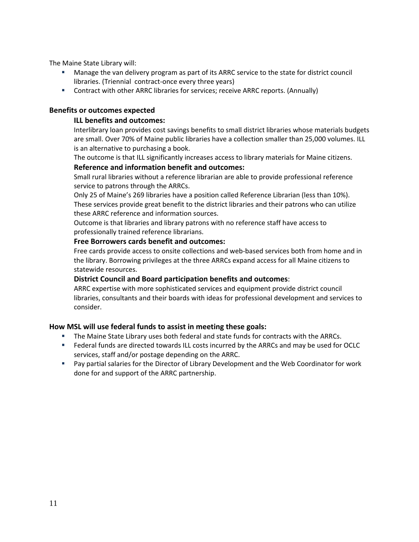The Maine State Library will:

- Manage the van delivery program as part of its ARRC service to the state for district council libraries. (Triennial contract‐once every three years)
- Contract with other ARRC libraries for services; receive ARRC reports. (Annually)

## **Benefits or outcomes expected**

#### **ILL benefits and outcomes:**

Interlibrary loan provides cost savings benefits to small district libraries whose materials budgets are small. Over 70% of Maine public libraries have a collection smaller than 25,000 volumes. ILL is an alternative to purchasing a book.

The outcome is that ILL significantly increases access to library materials for Maine citizens.

## **Reference and information benefit and outcomes:**

Small rural libraries without a reference librarian are able to provide professional reference service to patrons through the ARRCs.

Only 25 of Maine's 269 libraries have a position called Reference Librarian (less than 10%). These services provide great benefit to the district libraries and their patrons who can utilize these ARRC reference and information sources.

Outcome is that libraries and library patrons with no reference staff have access to professionally trained reference librarians.

### **Free Borrowers cards benefit and outcomes:**

Free cards provide access to onsite collections and web‐based services both from home and in the library. Borrowing privileges at the three ARRCs expand access for all Maine citizens to statewide resources.

#### **District Council and Board participation benefits and outcomes**:

ARRC expertise with more sophisticated services and equipment provide district council libraries, consultants and their boards with ideas for professional development and services to consider.

## **How MSL will use federal funds to assist in meeting these goals:**

- The Maine State Library uses both federal and state funds for contracts with the ARRCs.
- **Federal funds are directed towards ILL costs incurred by the ARRCs and may be used for OCLC** services, staff and/or postage depending on the ARRC.
- Pay partial salaries for the Director of Library Development and the Web Coordinator for work done for and support of the ARRC partnership.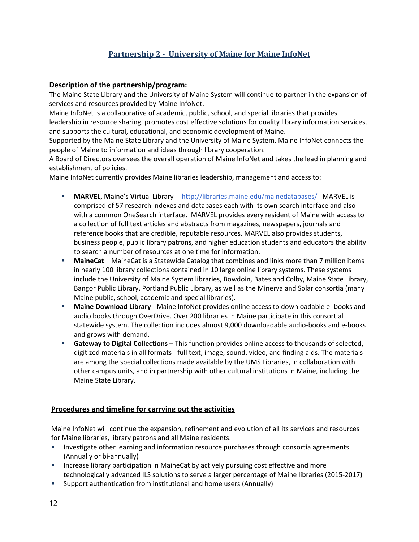# **Partnership 2 University of Maine for Maine InfoNet**

## **Description of the partnership/program:**

The Maine State Library and the University of Maine System will continue to partner in the expansion of services and resources provided by Maine InfoNet.

Maine InfoNet is a collaborative of academic, public, school, and special libraries that provides leadership in resource sharing, promotes cost effective solutions for quality library information services, and supports the cultural, educational, and economic development of Maine.

Supported by the Maine State Library and the University of Maine System, Maine InfoNet connects the people of Maine to information and ideas through library cooperation.

A Board of Directors oversees the overall operation of Maine InfoNet and takes the lead in planning and establishment of policies.

Maine InfoNet currently provides Maine libraries leadership, management and access to:

- **MARVEL, Maine's Virtual Library -- http://libraries.maine.edu/mainedatabases/ MARVEL is** comprised of 57 research indexes and databases each with its own search interface and also with a common OneSearch interface. MARVEL provides every resident of Maine with access to a collection of full text articles and abstracts from magazines, newspapers, journals and reference books that are credible, reputable resources. MARVEL also provides students, business people, public library patrons, and higher education students and educators the ability to search a number of resources at one time for information.
- **MaineCat** MaineCat is a Statewide Catalog that combines and links more than 7 million items in nearly 100 library collections contained in 10 large online library systems. These systems include the University of Maine System libraries, Bowdoin, Bates and Colby, Maine State Library, Bangor Public Library, Portland Public Library, as well as the Minerva and Solar consortia (many Maine public, school, academic and special libraries).
- **Maine Download Library** ‐ Maine InfoNet provides online access to downloadable e‐ books and audio books through OverDrive. Over 200 libraries in Maine participate in this consortial statewide system. The collection includes almost 9,000 downloadable audio‐books and e‐books and grows with demand.
- **Gateway to Digital Collections** This function provides online access to thousands of selected, digitized materials in all formats ‐ full text, image, sound, video, and finding aids. The materials are among the special collections made available by the UMS Libraries, in collaboration with other campus units, and in partnership with other cultural institutions in Maine, including the Maine State Library.

## **Procedures and timeline for carrying out the activities**

Maine InfoNet will continue the expansion, refinement and evolution of all its services and resources for Maine libraries, library patrons and all Maine residents.

- Investigate other learning and information resource purchases through consortia agreements (Annually or bi‐annually)
- **Increase library participation in MaineCat by actively pursuing cost effective and more** technologically advanced ILS solutions to serve a larger percentage of Maine libraries (2015‐2017)
- Support authentication from institutional and home users (Annually)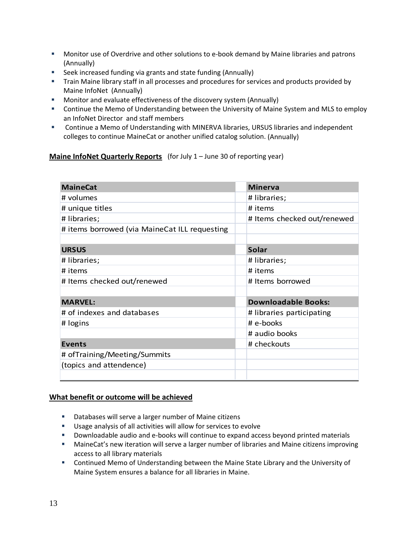- Monitor use of Overdrive and other solutions to e-book demand by Maine libraries and patrons (Annually)
- **Seek increased funding via grants and state funding (Annually)**
- **Train Maine library staff in all processes and procedures for services and products provided by** Maine InfoNet (Annually)
- **Monitor and evaluate effectiveness of the discovery system (Annually)**
- **EXECONTIFY Continue the Memo of Understanding between the University of Maine System and MLS to employ** an InfoNet Director and staff members
- Continue a Memo of Understanding with MINERVA libraries, URSUS libraries and independent colleges to continue MaineCat or another unified catalog solution. (Annually)

**Maine InfoNet Quarterly Reports** (for July 1 – June 30 of reporting year)

| <b>MaineCat</b>                               | <b>Minerva</b>              |
|-----------------------------------------------|-----------------------------|
| # volumes                                     | # libraries;                |
| # unique titles                               | # items                     |
| # libraries;                                  | # Items checked out/renewed |
| # items borrowed (via MaineCat ILL requesting |                             |
|                                               |                             |
| <b>URSUS</b>                                  | <b>Solar</b>                |
| # libraries;                                  | # libraries;                |
| # items                                       | # items                     |
| # Items checked out/renewed                   | # Items borrowed            |
|                                               |                             |
| <b>MARVEL:</b>                                | <b>Downloadable Books:</b>  |
| # of indexes and databases                    | # libraries participating   |
| # logins                                      | # e-books                   |
|                                               | # audio books               |
| <b>Events</b>                                 | # checkouts                 |
| # ofTraining/Meeting/Summits                  |                             |
| (topics and attendence)                       |                             |
|                                               |                             |

## **What benefit or outcome will be achieved**

- **Databases will serve a larger number of Maine citizens**
- Usage analysis of all activities will allow for services to evolve
- Downloadable audio and e-books will continue to expand access beyond printed materials
- MaineCat's new iteration will serve a larger number of libraries and Maine citizens improving access to all library materials
- **EXECONTIFY Continued Memo of Understanding between the Maine State Library and the University of** Maine System ensures a balance for all libraries in Maine.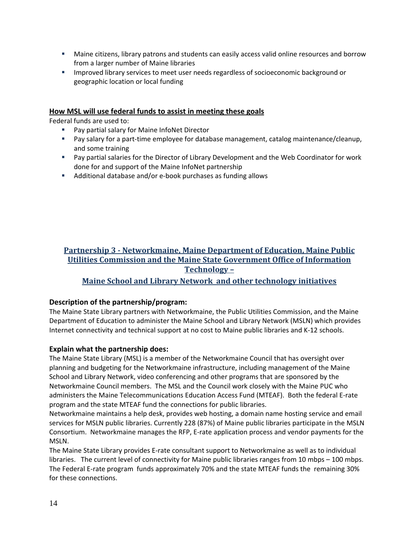- Maine citizens, library patrons and students can easily access valid online resources and borrow from a larger number of Maine libraries
- **IMPROVED INCOVERGY INTEGRATE:** 1 Improved library services to meet user user user specifies of socioeconomic background or geographic location or local funding

## **How MSL will use federal funds to assist in meeting these goals**

Federal funds are used to:

- Pay partial salary for Maine InfoNet Director
- Pay salary for a part-time employee for database management, catalog maintenance/cleanup, and some training
- Pay partial salaries for the Director of Library Development and the Web Coordinator for work done for and support of the Maine InfoNet partnership
- Additional database and/or e-book purchases as funding allows

## **Partnership 3 Networkmaine, Maine Department of Education, Maine Public Utilities Commission and the Maine State Government Office of Information Technology –**

## **Maine School and Library Network and other technology initiatives**

## **Description of the partnership/program:**

The Maine State Library partners with Networkmaine, the Public Utilities Commission, and the Maine Department of Education to administer the Maine School and Library Network (MSLN) which provides Internet connectivity and technical support at no cost to Maine public libraries and K‐12 schools.

#### **Explain what the partnership does:**

The Maine State Library (MSL) is a member of the Networkmaine Council that has oversight over planning and budgeting for the Networkmaine infrastructure, including management of the Maine School and Library Network, video conferencing and other programs that are sponsored by the Networkmaine Council members. The MSL and the Council work closely with the Maine PUC who administers the Maine Telecommunications Education Access Fund (MTEAF). Both the federal E‐rate program and the state MTEAF fund the connections for public libraries.

Networkmaine maintains a help desk, provides web hosting, a domain name hosting service and email services for MSLN public libraries. Currently 228 (87%) of Maine public libraries participate in the MSLN Consortium. Networkmaine manages the RFP, E‐rate application process and vendor payments for the MSLN.

The Maine State Library provides E‐rate consultant support to Networkmaine as well as to individual libraries. The current level of connectivity for Maine public libraries ranges from 10 mbps – 100 mbps. The Federal E-rate program funds approximately 70% and the state MTEAF funds the remaining 30% for these connections.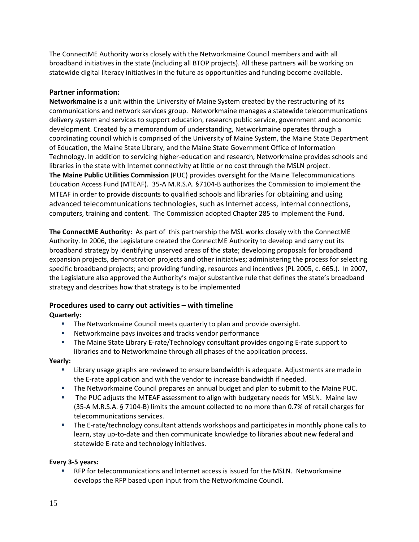The ConnectME Authority works closely with the Networkmaine Council members and with all broadband initiatives in the state (including all BTOP projects). All these partners will be working on statewide digital literacy initiatives in the future as opportunities and funding become available.

## **Partner information:**

**Networkmaine** is a unit within the University of Maine System created by the restructuring of its communications and network services group. Networkmaine manages a statewide telecommunications delivery system and services to support education, research public service, government and economic development. Created by a memorandum of understanding, Networkmaine operates through a coordinating council which is comprised of the University of Maine System, the Maine State Department of Education, the Maine State Library, and the Maine State Government Office of Information Technology. In addition to servicing higher‐education and research, Networkmaine provides schools and libraries in the state with Internet connectivity at little or no cost through the MSLN project. **The Maine Public Utilities Commission** (PUC) provides oversight for the Maine Telecommunications Education Access Fund (MTEAF). 35‐A M.R.S.A. §7104‐B authorizes the Commission to implement the MTEAF in order to provide discounts to qualified schools and libraries for obtaining and using advanced telecommunications technologies, such as Internet access, internal connections, computers, training and content. The Commission adopted Chapter 285 to implement the Fund.

**The ConnectME Authority:** As part of this partnership the MSL works closely with the ConnectME Authority. In 2006, the Legislature created the ConnectME Authority to develop and carry out its broadband strategy by identifying unserved areas of the state; developing proposals for broadband expansion projects, demonstration projects and other initiatives; administering the process for selecting specific broadband projects; and providing funding, resources and incentives (PL 2005, c. 665.). In 2007, the Legislature also approved the Authority's major substantive rule that defines the state's broadband strategy and describes how that strategy is to be implemented

# **Procedures used to carry out activities – with timeline**

**Quarterly:**

- **The Networkmaine Council meets quarterly to plan and provide oversight.**
- Networkmaine pays invoices and tracks vendor performance
- The Maine State Library E-rate/Technology consultant provides ongoing E-rate support to libraries and to Networkmaine through all phases of the application process.

## **Yearly:**

- Library usage graphs are reviewed to ensure bandwidth is adequate. Adjustments are made in the E‐rate application and with the vendor to increase bandwidth if needed.
- **The Networkmaine Council prepares an annual budget and plan to submit to the Maine PUC.**
- The PUC adjusts the MTEAF assessment to align with budgetary needs for MSLN. Maine law (35‐A M.R.S.A. § 7104‐B) limits the amount collected to no more than 0.7% of retail charges for telecommunications services.
- The E-rate/technology consultant attends workshops and participates in monthly phone calls to learn, stay up-to-date and then communicate knowledge to libraries about new federal and statewide E‐rate and technology initiatives.

## **Every 3‐5 years:**

 RFP for telecommunications and Internet access is issued for the MSLN. Networkmaine develops the RFP based upon input from the Networkmaine Council.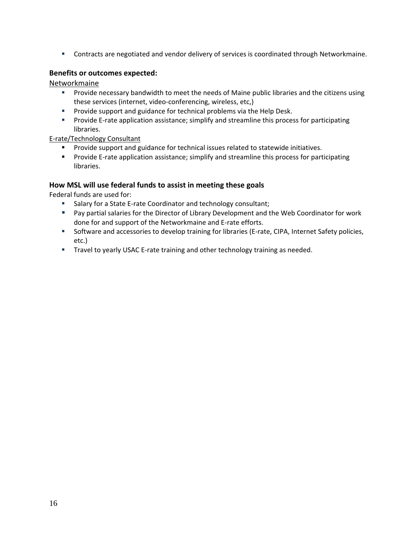**Contracts are negotiated and vendor delivery of services is coordinated through Networkmaine.** 

## **Benefits or outcomes expected:**

Networkmaine

- **Provide necessary bandwidth to meet the needs of Maine public libraries and the citizens using** these services (internet, video‐conferencing, wireless, etc,)
- **Provide support and guidance for technical problems via the Help Desk.**
- Provide E-rate application assistance; simplify and streamline this process for participating libraries.

E‐rate/Technology Consultant

- **Provide support and guidance for technical issues related to statewide initiatives.**
- Provide E-rate application assistance; simplify and streamline this process for participating libraries.

### **How MSL will use federal funds to assist in meeting these goals**

Federal funds are used for:

- Salary for a State E-rate Coordinator and technology consultant;
- **Pay partial salaries for the Director of Library Development and the Web Coordinator for work** done for and support of the Networkmaine and E‐rate efforts.
- Software and accessories to develop training for libraries (E-rate, CIPA, Internet Safety policies, etc.)
- Travel to yearly USAC E-rate training and other technology training as needed.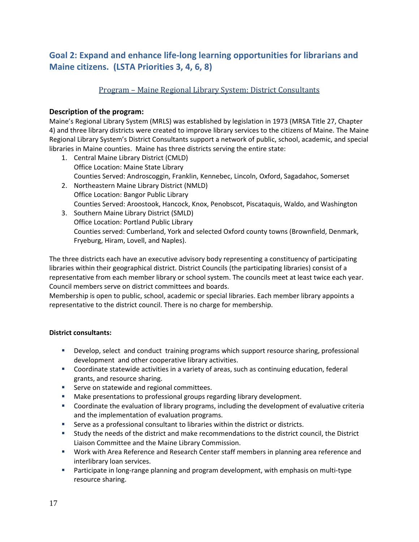# **Goal 2: Expand and enhance life‐long learning opportunities for librarians and Maine citizens. (LSTA Priorities 3, 4, 6, 8)**

## Program – Maine Regional Library System: District Consultants

## **Description of the program:**

Maine's Regional Library System (MRLS) was established by legislation in 1973 (MRSA Title 27, Chapter 4) and three library districts were created to improve library services to the citizens of Maine. The Maine Regional Library System's District Consultants support a network of public, school, academic, and special libraries in Maine counties. Maine has three districts serving the entire state:

- 1. Central Maine Library District (CMLD) Office Location: Maine State Library Counties Served: Androscoggin, Franklin, Kennebec, Lincoln, Oxford, Sagadahoc, Somerset
- 2. Northeastern Maine Library District (NMLD) Office Location: Bangor Public Library Counties Served: Aroostook, Hancock, Knox, Penobscot, Piscataquis, Waldo, and Washington
- 3. Southern Maine Library District (SMLD) Office Location: Portland Public Library Counties served: Cumberland, York and selected Oxford county towns (Brownfield, Denmark, Fryeburg, Hiram, Lovell, and Naples).

The three districts each have an executive advisory body representing a constituency of participating libraries within their geographical district. District Councils (the participating libraries) consist of a representative from each member library or school system. The councils meet at least twice each year. Council members serve on district committees and boards.

Membership is open to public, school, academic or special libraries. Each member library appoints a representative to the district council. There is no charge for membership.

## **District consultants:**

- Develop, select and conduct training programs which support resource sharing, professional development and other cooperative library activities.
- Coordinate statewide activities in a variety of areas, such as continuing education, federal grants, and resource sharing.
- **Serve on statewide and regional committees.**
- Make presentations to professional groups regarding library development.
- Coordinate the evaluation of library programs, including the development of evaluative criteria and the implementation of evaluation programs.
- Serve as a professional consultant to libraries within the district or districts.
- Study the needs of the district and make recommendations to the district council, the District Liaison Committee and the Maine Library Commission.
- Work with Area Reference and Research Center staff members in planning area reference and interlibrary loan services.
- Participate in long-range planning and program development, with emphasis on multi-type resource sharing.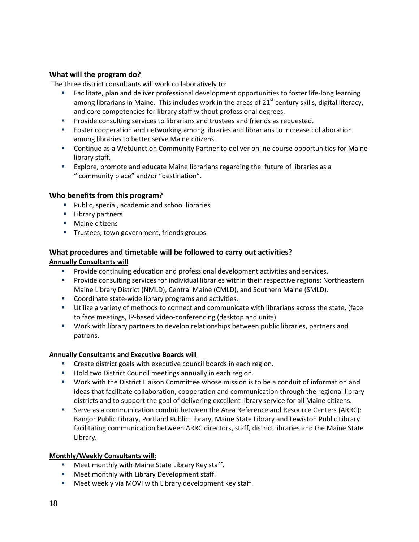## **What will the program do?**

The three district consultants will work collaboratively to:

- Facilitate, plan and deliver professional development opportunities to foster life-long learning among librarians in Maine. This includes work in the areas of  $21<sup>st</sup>$  century skills, digital literacy, and core competencies for library staff without professional degrees.
- **Provide consulting services to librarians and trustees and friends as requested.**
- Foster cooperation and networking among libraries and librarians to increase collaboration among libraries to better serve Maine citizens.
- Continue as a WebJunction Community Partner to deliver online course opportunities for Maine library staff.
- Explore, promote and educate Maine librarians regarding the future of libraries as a " community place" and/or "destination".

## **Who benefits from this program?**

- Public, special, academic and school libraries
- **Library partners**
- **Maine citizens**
- **Trustees, town government, friends groups**

## **What procedures and timetable will be followed to carry out activities? Annually Consultants will**

- **Provide continuing education and professional development activities and services.**
- Provide consulting services for individual libraries within their respective regions: Northeastern Maine Library District (NMLD), Central Maine (CMLD), and Southern Maine (SMLD).
- Coordinate state-wide library programs and activities.
- Utilize a variety of methods to connect and communicate with librarians across the state, (face to face meetings, IP‐based video‐conferencing (desktop and units).
- Work with library partners to develop relationships between public libraries, partners and patrons.

#### **Annually Consultants and Executive Boards will**

- **EXECT** Create district goals with executive council boards in each region.
- **Hold two District Council meetings annually in each region.**
- Work with the District Liaison Committee whose mission is to be a conduit of information and ideas that facilitate collaboration, cooperation and communication through the regional library districts and to support the goal of delivering excellent library service for all Maine citizens.
- Serve as a communication conduit between the Area Reference and Resource Centers (ARRC): Bangor Public Library, Portland Public Library, Maine State Library and Lewiston Public Library facilitating communication between ARRC directors, staff, district libraries and the Maine State Library.

#### **Monthly/Weekly Consultants will:**

- **EXEC** Meet monthly with Maine State Library Key staff.
- **Meet monthly with Library Development staff.**
- **Meet weekly via MOVI with Library development key staff.**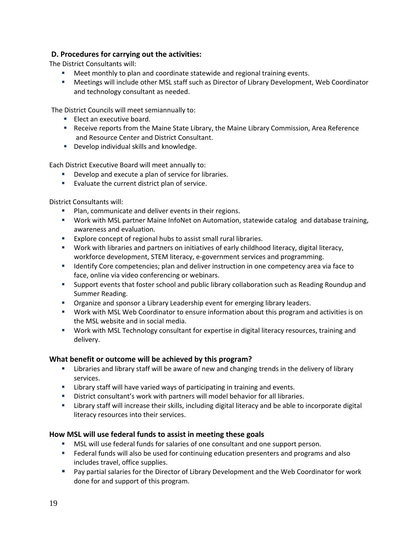## **D. Procedures for carrying out the activities:**

The District Consultants will:

- Meet monthly to plan and coordinate statewide and regional training events.
- Meetings will include other MSL staff such as Director of Library Development, Web Coordinator and technology consultant as needed.

The District Councils will meet semiannually to:

- **Elect an executive board.**
- **Receive reports from the Maine State Library, the Maine Library Commission, Area Reference** and Resource Center and District Consultant.
- Develop individual skills and knowledge.

Each District Executive Board will meet annually to:

- **Develop and execute a plan of service for libraries.**
- **Evaluate the current district plan of service.**

District Consultants will:

- **Plan, communicate and deliver events in their regions.**
- Work with MSL partner Maine InfoNet on Automation, statewide catalog and database training, awareness and evaluation.
- **Explore concept of regional hubs to assist small rural libraries.**
- Work with libraries and partners on initiatives of early childhood literacy, digital literacy, workforce development, STEM literacy, e‐government services and programming.
- **If all identify Core competencies; plan and deliver instruction in one competency area via face to** face, online via video conferencing or webinars.
- Support events that foster school and public library collaboration such as Reading Roundup and Summer Reading.
- Organize and sponsor a Library Leadership event for emerging library leaders.
- Work with MSL Web Coordinator to ensure information about this program and activities is on the MSL website and in social media.
- Work with MSL Technology consultant for expertise in digital literacy resources, training and delivery.

## **What benefit or outcome will be achieved by this program?**

- **EXED** Libraries and library staff will be aware of new and changing trends in the delivery of library services.
- **EXTE:** Library staff will have varied ways of participating in training and events.
- District consultant's work with partners will model behavior for all libraries.
- Library staff will increase their skills, including digital literacy and be able to incorporate digital literacy resources into their services.

## **How MSL will use federal funds to assist in meeting these goals**

- MSL will use federal funds for salaries of one consultant and one support person.
- Federal funds will also be used for continuing education presenters and programs and also includes travel, office supplies.
- Pay partial salaries for the Director of Library Development and the Web Coordinator for work done for and support of this program.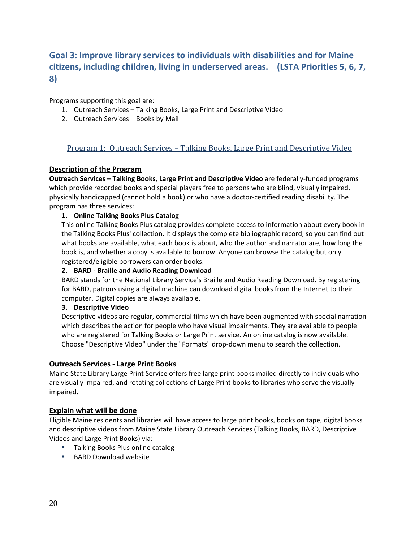# **Goal 3: Improve library services to individuals with disabilities and for Maine citizens, including children, living in underserved areas. (LSTA Priorities 5, 6, 7, 8)**

Programs supporting this goal are:

- 1. Outreach Services Talking Books, Large Print and Descriptive Video
- 2. Outreach Services Books by Mail

## Program 1: Outreach Services – Talking Books, Large Print and Descriptive Video

### **Description of the Program**

**Outreach Services – Talking Books, Large Print and Descriptive Video** are federally‐funded programs which provide recorded books and special players free to persons who are blind, visually impaired, physically handicapped (cannot hold a book) or who have a doctor‐certified reading disability. The program has three services:

### **1. Online Talking Books Plus Catalog**

This online Talking Books Plus catalog provides complete access to information about every book in the Talking Books Plus' collection. It displays the complete bibliographic record, so you can find out what books are available, what each book is about, who the author and narrator are, how long the book is, and whether a copy is available to borrow. Anyone can browse the catalog but only registered/eligible borrowers can order books.

#### **2. BARD ‐ Braille and Audio Reading Download**

BARD stands for the National Library Service's Braille and Audio Reading Download. By registering for BARD, patrons using a digital machine can download digital books from the Internet to their computer. Digital copies are always available.

#### **3. Descriptive Video**

Descriptive videos are regular, commercial films which have been augmented with special narration which describes the action for people who have visual impairments. They are available to people who are registered for Talking Books or Large Print service. An online catalog is now available. Choose "Descriptive Video" under the "Formats" drop‐down menu to search the collection.

#### **Outreach Services ‐ Large Print Books**

Maine State Library Large Print Service offers free large print books mailed directly to individuals who are visually impaired, and rotating collections of Large Print books to libraries who serve the visually impaired.

#### **Explain what will be done**

Eligible Maine residents and libraries will have access to large print books, books on tape, digital books and descriptive videos from Maine State Library Outreach Services (Talking Books, BARD, Descriptive Videos and Large Print Books) via:

- **Talking Books Plus online catalog**
- $B$ BARD Download website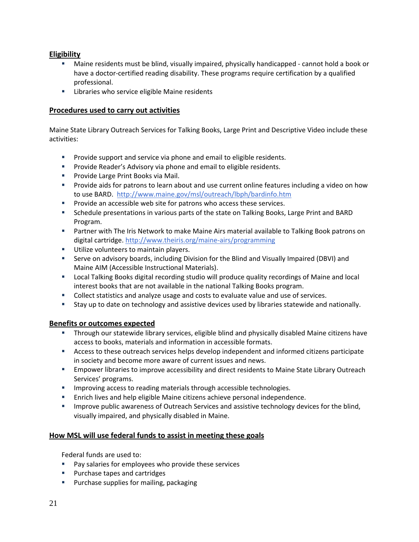## **Eligibility**

- Maine residents must be blind, visually impaired, physically handicapped ‐ cannot hold a book or have a doctor-certified reading disability. These programs require certification by a qualified professional.
- **EXEC** Libraries who service eligible Maine residents

## **Procedures used to carry out activities**

Maine State Library Outreach Services for Talking Books, Large Print and Descriptive Video include these activities:

- **Provide support and service via phone and email to eligible residents.**
- **Provide Reader's Advisory via phone and email to eligible residents.**
- **Provide Large Print Books via Mail.**
- Provide aids for patrons to learn about and use current online features including a video on how to use BARD. http://www.maine.gov/msl/outreach/lbph/bardinfo.htm
- **Provide an accessible web site for patrons who access these services.**
- Schedule presentations in various parts of the state on Talking Books, Large Print and BARD Program.
- Partner with The Iris Network to make Maine Airs material available to Talking Book patrons on digital cartridge. http://www.theiris.org/maine‐airs/programming
- **Utilize volunteers to maintain players.**
- Serve on advisory boards, including Division for the Blind and Visually Impaired (DBVI) and Maine AIM (Accessible Instructional Materials).
- Local Talking Books digital recording studio will produce quality recordings of Maine and local interest books that are not available in the national Talking Books program.
- Collect statistics and analyze usage and costs to evaluate value and use of services.
- Stay up to date on technology and assistive devices used by libraries statewide and nationally.

## **Benefits or outcomes expected**

- **Through our statewide library services, eligible blind and physically disabled Maine citizens have** access to books, materials and information in accessible formats.
- Access to these outreach services helps develop independent and informed citizens participate in society and become more aware of current issues and news.
- Empower libraries to improve accessibility and direct residents to Maine State Library Outreach Services' programs.
- **IMPROVING ACCESS TO reading materials through accessible technologies.**
- Enrich lives and help eligible Maine citizens achieve personal independence.
- **IMPROVE 19 Improve public awareness of Outreach Services and assistive technology devices for the blind,** visually impaired, and physically disabled in Maine.

## **How MSL will use federal funds to assist in meeting these goals**

Federal funds are used to:

- **Pay salaries for employees who provide these services**
- **Purchase tapes and cartridges**
- **Purchase supplies for mailing, packaging**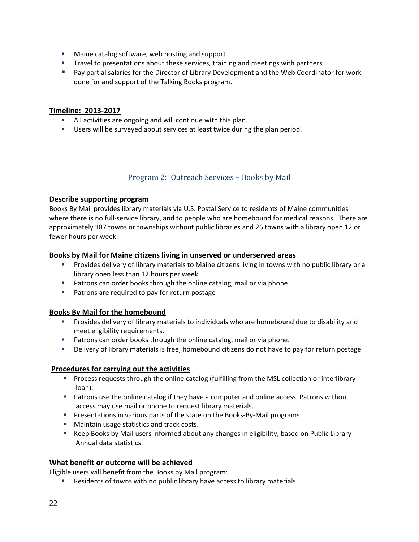- **Maine catalog software, web hosting and support**
- **Travel to presentations about these services, training and meetings with partners**
- Pay partial salaries for the Director of Library Development and the Web Coordinator for work done for and support of the Talking Books program.

## **Timeline: 2013‐2017**

- All activities are ongoing and will continue with this plan.
- Users will be surveyed about services at least twice during the plan period.

## Program 2: Outreach Services – Books by Mail

### **Describe supporting program**

Books By Mail provides library materials via U.S. Postal Service to residents of Maine communities where there is no full-service library, and to people who are homebound for medical reasons. There are approximately 187 towns or townships without public libraries and 26 towns with a library open 12 or fewer hours per week.

### **Books by Mail for Maine citizens living in unserved or underserved areas**

- Provides delivery of library materials to Maine citizens living in towns with no public library or a library open less than 12 hours per week.
- **Patrons can order books through the online catalog, mail or via phone.**
- **Patrons are required to pay for return postage**

## **Books By Mail for the homebound**

- Provides delivery of library materials to individuals who are homebound due to disability and meet eligibility requirements.
- **Patrons can order books through the online catalog, mail or via phone.**
- Delivery of library materials is free; homebound citizens do not have to pay for return postage

## **Procedures for carrying out the activities**

- **Process requests through the online catalog (fulfilling from the MSL collection or interlibrary** loan).
- **Patrons use the online catalog if they have a computer and online access. Patrons without** access may use mail or phone to request library materials.
- Presentations in various parts of the state on the Books-By-Mail programs
- **Maintain usage statistics and track costs.**
- Keep Books by Mail users informed about any changes in eligibility, based on Public Library Annual data statistics.

## **What benefit or outcome will be achieved**

Eligible users will benefit from the Books by Mail program:

Residents of towns with no public library have access to library materials.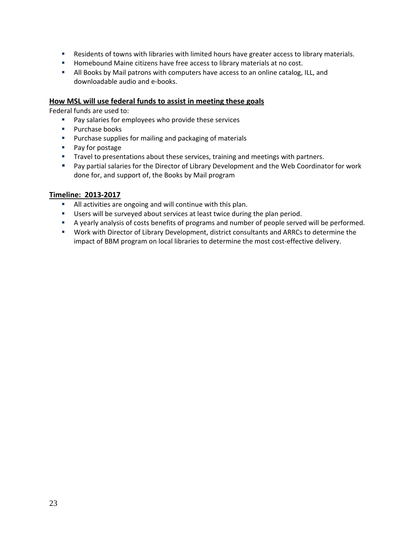- Residents of towns with libraries with limited hours have greater access to library materials.
- **Homebound Maine citizens have free access to library materials at no cost.**
- All Books by Mail patrons with computers have access to an online catalog, ILL, and downloadable audio and e‐books.

## **How MSL will use federal funds to assist in meeting these goals**

Federal funds are used to:

- **Pay salaries for employees who provide these services**
- **Purchase books**
- **Purchase supplies for mailing and packaging of materials**
- **Pay for postage**
- **Travel to presentations about these services, training and meetings with partners.**
- Pay partial salaries for the Director of Library Development and the Web Coordinator for work done for, and support of, the Books by Mail program

### **Timeline: 2013‐2017**

- All activities are ongoing and will continue with this plan.
- **Users will be surveyed about services at least twice during the plan period.**
- A yearly analysis of costs benefits of programs and number of people served will be performed.
- Work with Director of Library Development, district consultants and ARRCs to determine the impact of BBM program on local libraries to determine the most cost-effective delivery.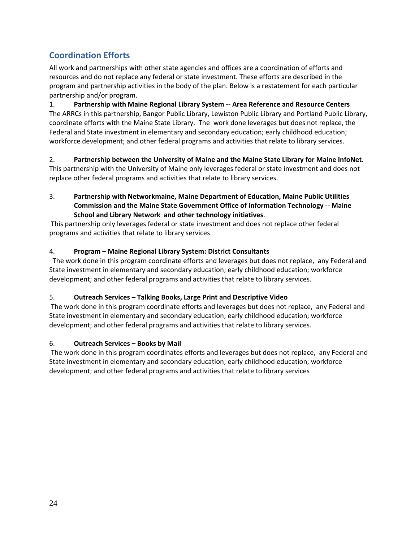# **Coordination Efforts**

All work and partnerships with other state agencies and offices are a coordination of efforts and resources and do not replace any federal or state investment. These efforts are described in the program and partnership activities in the body of the plan. Below is a restatement for each particular partnership and/or program.

1. **Partnership with Maine Regional Library System ‐‐ Area Reference and Resource Centers** The ARRCs in this partnership, Bangor Public Library, Lewiston Public Library and Portland Public Library, coordinate efforts with the Maine State Library. The work done leverages but does not replace, the Federal and State investment in elementary and secondary education; early childhood education; workforce development; and other federal programs and activities that relate to library services.

2. **Partnership between the University of Maine and the Maine State Library for Maine InfoNet**. This partnership with the University of Maine only leverages federal or state investment and does not replace other federal programs and activities that relate to library services.

3. **Partnership with Networkmaine, Maine Department of Education, Maine Public Utilities Commission and the Maine State Government Office of Information Technology ‐‐ Maine School and Library Network and other technology initiatives**.

This partnership only leverages federal or state investment and does not replace other federal programs and activities that relate to library services.

## 4. **Program – Maine Regional Library System: District Consultants**

 The work done in this program coordinate efforts and leverages but does not replace, any Federal and State investment in elementary and secondary education; early childhood education; workforce development; and other federal programs and activities that relate to library services.

## 5. **Outreach Services – Talking Books, Large Print and Descriptive Video**

The work done in this program coordinate efforts and leverages but does not replace, any Federal and State investment in elementary and secondary education; early childhood education; workforce development; and other federal programs and activities that relate to library services.

## 6. **Outreach Services – Books by Mail**

The work done in this program coordinates efforts and leverages but does not replace, any Federal and State investment in elementary and secondary education; early childhood education; workforce development; and other federal programs and activities that relate to library services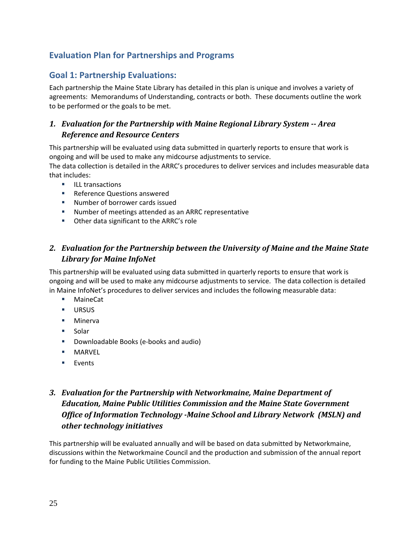# **Evaluation Plan for Partnerships and Programs**

# **Goal 1: Partnership Evaluations:**

Each partnership the Maine State Library has detailed in this plan is unique and involves a variety of agreements: Memorandums of Understanding, contracts or both. These documents outline the work to be performed or the goals to be met.

# *1. Evaluation for the Partnership with Maine Regional Library System Area Reference and Resource Centers*

This partnership will be evaluated using data submitted in quarterly reports to ensure that work is ongoing and will be used to make any midcourse adjustments to service.

The data collection is detailed in the ARRC's procedures to deliver services and includes measurable data that includes:

- **ILL transactions**
- **Reference Questions answered**
- Number of borrower cards issued
- Number of meetings attended as an ARRC representative
- Other data significant to the ARRC's role

# *2. Evaluation for the Partnership between the University of Maine and the Maine State Library for Maine InfoNet*

This partnership will be evaluated using data submitted in quarterly reports to ensure that work is ongoing and will be used to make any midcourse adjustments to service. The data collection is detailed in Maine InfoNet's procedures to deliver services and includes the following measurable data:

- MaineCat
- **URSUS**
- **Minerva**
- **Solar**
- Downloadable Books (e-books and audio)
- **MARVEL**
- **Events**

# *3. Evaluation for the Partnership with Networkmaine, Maine Department of Education, Maine Public Utilities Commission and the Maine State Government Office of Information Technology Maine School and Library Network (MSLN) and other technology initiatives*

This partnership will be evaluated annually and will be based on data submitted by Networkmaine, discussions within the Networkmaine Council and the production and submission of the annual report for funding to the Maine Public Utilities Commission.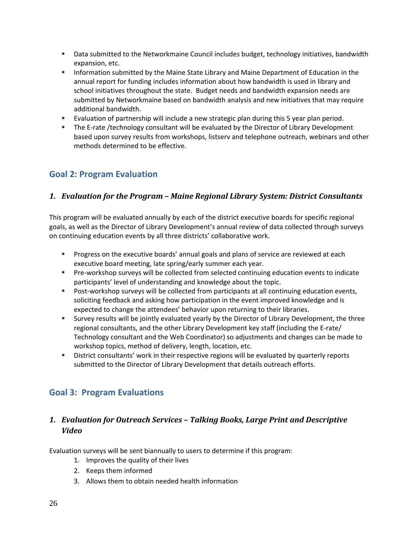- **Data submitted to the Networkmaine Council includes budget, technology initiatives, bandwidth** expansion, etc.
- **Information submitted by the Maine State Library and Maine Department of Education in the** annual report for funding includes information about how bandwidth is used in library and school initiatives throughout the state. Budget needs and bandwidth expansion needs are submitted by Networkmaine based on bandwidth analysis and new initiatives that may require additional bandwidth.
- Evaluation of partnership will include a new strategic plan during this 5 year plan period.
- The E-rate /technology consultant will be evaluated by the Director of Library Development based upon survey results from workshops, listserv and telephone outreach, webinars and other methods determined to be effective.

# **Goal 2: Program Evaluation**

## *1. Evaluation for the Program – Maine Regional Library System: District Consultants*

This program will be evaluated annually by each of the district executive boards for specific regional goals, as well as the Director of Library Development's annual review of data collected through surveys on continuing education events by all three districts' collaborative work.

- Progress on the executive boards' annual goals and plans of service are reviewed at each executive board meeting, late spring/early summer each year.
- Pre-workshop surveys will be collected from selected continuing education events to indicate participants' level of understanding and knowledge about the topic.
- Post-workshop surveys will be collected from participants at all continuing education events, soliciting feedback and asking how participation in the event improved knowledge and is expected to change the attendees' behavior upon returning to their libraries.
- Survey results will be jointly evaluated yearly by the Director of Library Development, the three regional consultants, and the other Library Development key staff (including the E‐rate/ Technology consultant and the Web Coordinator) so adjustments and changes can be made to workshop topics, method of delivery, length, location, etc.
- District consultants' work in their respective regions will be evaluated by quarterly reports submitted to the Director of Library Development that details outreach efforts.

# **Goal 3: Program Evaluations**

# *1. Evaluation for Outreach Services – Talking Books, Large Print and Descriptive Video*

Evaluation surveys will be sent biannually to users to determine if this program:

- 1. Improves the quality of their lives
- 2. Keeps them informed
- 3. Allows them to obtain needed health information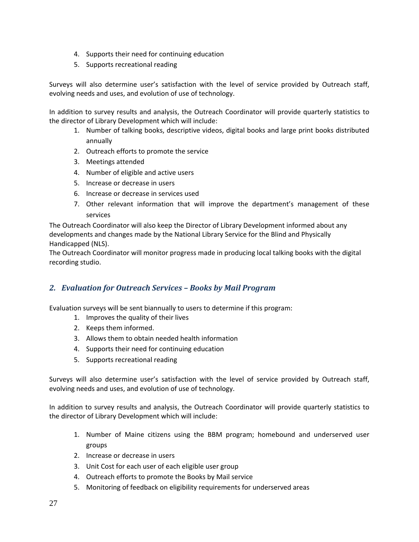- 4. Supports their need for continuing education
- 5. Supports recreational reading

Surveys will also determine user's satisfaction with the level of service provided by Outreach staff, evolving needs and uses, and evolution of use of technology.

In addition to survey results and analysis, the Outreach Coordinator will provide quarterly statistics to the director of Library Development which will include:

- 1. Number of talking books, descriptive videos, digital books and large print books distributed annually
- 2. Outreach efforts to promote the service
- 3. Meetings attended
- 4. Number of eligible and active users
- 5. Increase or decrease in users
- 6. Increase or decrease in services used
- 7. Other relevant information that will improve the department's management of these services

The Outreach Coordinator will also keep the Director of Library Development informed about any developments and changes made by the National Library Service for the Blind and Physically Handicapped (NLS).

The Outreach Coordinator will monitor progress made in producing local talking books with the digital recording studio.

## *2. Evaluation for Outreach Services – Books by Mail Program*

Evaluation surveys will be sent biannually to users to determine if this program:

- 1. Improves the quality of their lives
- 2. Keeps them informed.
- 3. Allows them to obtain needed health information
- 4. Supports their need for continuing education
- 5. Supports recreational reading

Surveys will also determine user's satisfaction with the level of service provided by Outreach staff, evolving needs and uses, and evolution of use of technology.

In addition to survey results and analysis, the Outreach Coordinator will provide quarterly statistics to the director of Library Development which will include:

- 1. Number of Maine citizens using the BBM program; homebound and underserved user groups
- 2. Increase or decrease in users
- 3. Unit Cost for each user of each eligible user group
- 4. Outreach efforts to promote the Books by Mail service
- 5. Monitoring of feedback on eligibility requirements for underserved areas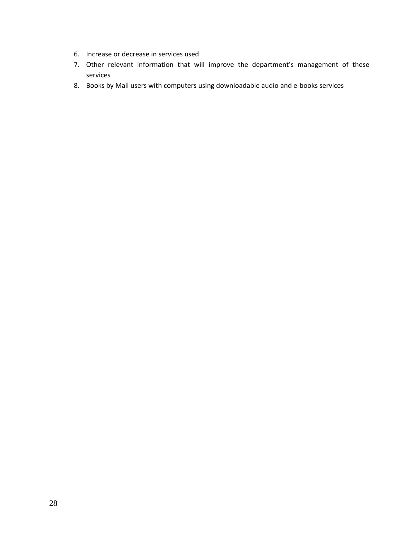- 6. Increase or decrease in services used
- 7. Other relevant information that will improve the department's management of these services
- 8. Books by Mail users with computers using downloadable audio and e‐books services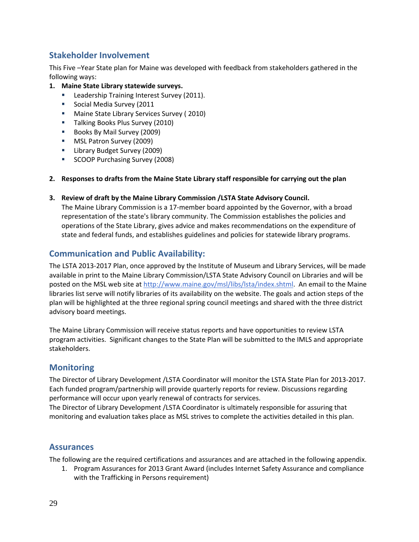# **Stakeholder Involvement**

This Five –Year State plan for Maine was developed with feedback from stakeholders gathered in the following ways:

- **1. Maine State Library statewide surveys.**
	- **Leadership Training Interest Survey (2011).**
	- **Social Media Survey (2011**
	- **Maine State Library Services Survey (2010)**
	- **Talking Books Plus Survey (2010)**
	- Books By Mail Survey (2009)
	- **MSL Patron Survey (2009)**
	- **E** Library Budget Survey (2009)
	- **SCOOP Purchasing Survey (2008)**
- **2. Responses to drafts from the Maine State Library staff responsible for carrying out the plan**
- **3. Review of draft by the Maine Library Commission /LSTA State Advisory Council.**

The Maine Library Commission is a 17‐member board appointed by the Governor, with a broad representation of the state's library community. The Commission establishes the policies and operations of the State Library, gives advice and makes recommendations on the expenditure of state and federal funds, and establishes guidelines and policies for statewide library programs.

# **Communication and Public Availability:**

The LSTA 2013‐2017 Plan, once approved by the Institute of Museum and Library Services, will be made available in print to the Maine Library Commission/LSTA State Advisory Council on Libraries and will be posted on the MSL web site at http://www.maine.gov/msl/libs/lsta/index.shtml. An email to the Maine libraries list serve will notify libraries of its availability on the website. The goals and action steps of the plan will be highlighted at the three regional spring council meetings and shared with the three district advisory board meetings.

The Maine Library Commission will receive status reports and have opportunities to review LSTA program activities. Significant changes to the State Plan will be submitted to the IMLS and appropriate stakeholders.

## **Monitoring**

The Director of Library Development /LSTA Coordinator will monitor the LSTA State Plan for 2013‐2017. Each funded program/partnership will provide quarterly reports for review. Discussions regarding performance will occur upon yearly renewal of contracts for services.

The Director of Library Development /LSTA Coordinator is ultimately responsible for assuring that monitoring and evaluation takes place as MSL strives to complete the activities detailed in this plan.

## **Assurances**

The following are the required certifications and assurances and are attached in the following appendix.

1. Program Assurances for 2013 Grant Award (includes Internet Safety Assurance and compliance with the Trafficking in Persons requirement)